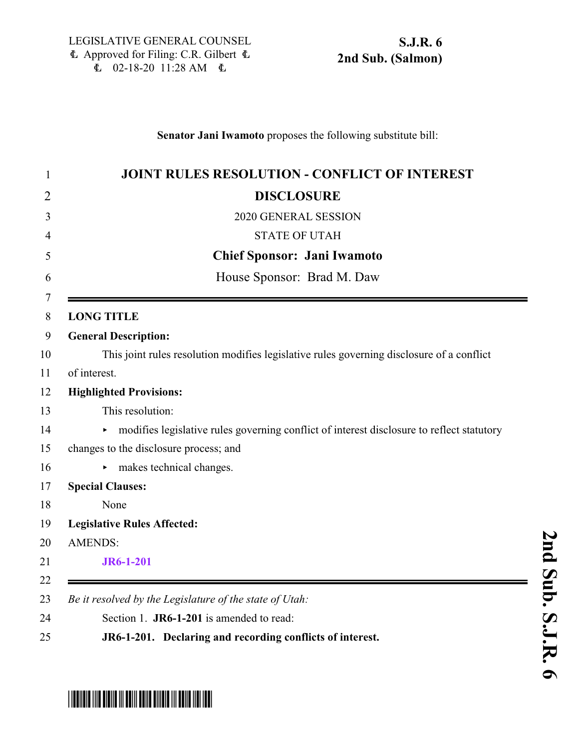#### **Senator Jani Iwamoto** proposes the following substitute bill:

| <b>JOINT RULES RESOLUTION - CONFLICT OF INTEREST</b>                                      |
|-------------------------------------------------------------------------------------------|
| <b>DISCLOSURE</b>                                                                         |
| 2020 GENERAL SESSION                                                                      |
| <b>STATE OF UTAH</b>                                                                      |
| <b>Chief Sponsor: Jani Iwamoto</b>                                                        |
| House Sponsor: Brad M. Daw                                                                |
| <b>LONG TITLE</b>                                                                         |
| <b>General Description:</b>                                                               |
| This joint rules resolution modifies legislative rules governing disclosure of a conflict |
| of interest.                                                                              |
| <b>Highlighted Provisions:</b>                                                            |
| This resolution:                                                                          |
| modifies legislative rules governing conflict of interest disclosure to reflect statutory |
| changes to the disclosure process; and                                                    |
| makes technical changes.                                                                  |
| <b>Special Clauses:</b>                                                                   |
| None                                                                                      |
| <b>Legislative Rules Affected:</b>                                                        |
| <b>AMENDS:</b>                                                                            |
| <b>JR6-1-201</b>                                                                          |
|                                                                                           |
| Be it resolved by the Legislature of the state of Utah:                                   |
| Section 1. JR6-1-201 is amended to read:                                                  |
| JR6-1-201. Declaring and recording conflicts of interest.                                 |

### **n d S u b. S.J.R.**

# <span id="page-0-0"></span>\* STRONG IN THE TIME IN THE TIME IN THE STRONG IN THE STRONG IN THE STRONG IN THE STRONG IN THE STRONG IN THE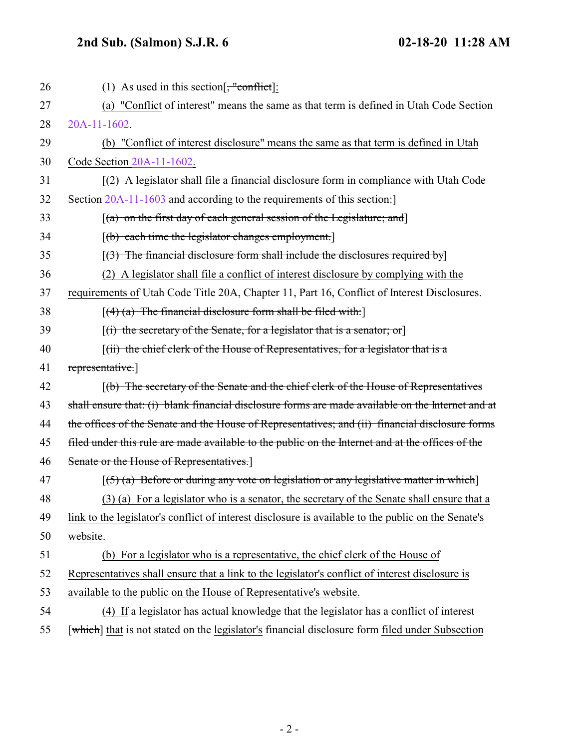## **2nd Sub. (Salmon) S.J.R. 6 02-18-20 11:28 AM**

| 26 | (1) As used in this section $\frac{1}{2}$ conflict.                                                 |
|----|-----------------------------------------------------------------------------------------------------|
| 27 | (a) "Conflict of interest" means the same as that term is defined in Utah Code Section              |
| 28 | 20A-11-1602.                                                                                        |
| 29 | (b) "Conflict of interest disclosure" means the same as that term is defined in Utah                |
| 30 | Code Section 20A-11-1602.                                                                           |
| 31 | $(2)$ A legislator shall file a financial disclosure form in compliance with Utah Code              |
| 32 | Section 20A-11-1603 and according to the requirements of this section:                              |
| 33 | $(a)$ on the first day of each general session of the Legislature; and                              |
| 34 | $[(b)$ each time the legislator changes employment.                                                 |
| 35 | $(3)$ The financial disclosure form shall include the disclosures required by                       |
| 36 | (2) A legislator shall file a conflict of interest disclosure by complying with the                 |
| 37 | requirements of Utah Code Title 20A, Chapter 11, Part 16, Conflict of Interest Disclosures.         |
| 38 | $[(4)$ (a) The financial disclosure form shall be filed with:                                       |
| 39 | $[(i)$ the secretary of the Senate, for a legislator that is a senator; or                          |
| 40 | [(ii) the chief clerk of the House of Representatives, for a legislator that is a                   |
| 41 | representative.]                                                                                    |
| 42 | $(6)$ The secretary of the Senate and the chief clerk of the House of Representatives               |
| 43 | shall ensure that: (i) blank financial disclosure forms are made available on the Internet and at   |
| 44 | the offices of the Senate and the House of Representatives; and (ii) financial disclosure forms     |
| 45 | filed under this rule are made available to the public on the Internet and at the offices of the    |
| 46 | Senate or the House of Representatives.]                                                            |
| 47 | $(5)$ (a) Before or during any vote on legislation or any legislative matter in which               |
| 48 | (3) (a) For a legislator who is a senator, the secretary of the Senate shall ensure that a          |
| 49 | link to the legislator's conflict of interest disclosure is available to the public on the Senate's |
| 50 | website.                                                                                            |
| 51 | (b) For a legislator who is a representative, the chief clerk of the House of                       |
| 52 | Representatives shall ensure that a link to the legislator's conflict of interest disclosure is     |
| 53 | available to the public on the House of Representative's website.                                   |
| 54 | (4) If a legislator has actual knowledge that the legislator has a conflict of interest             |
| 55 | [which] that is not stated on the legislator's financial disclosure form filed under Subsection     |